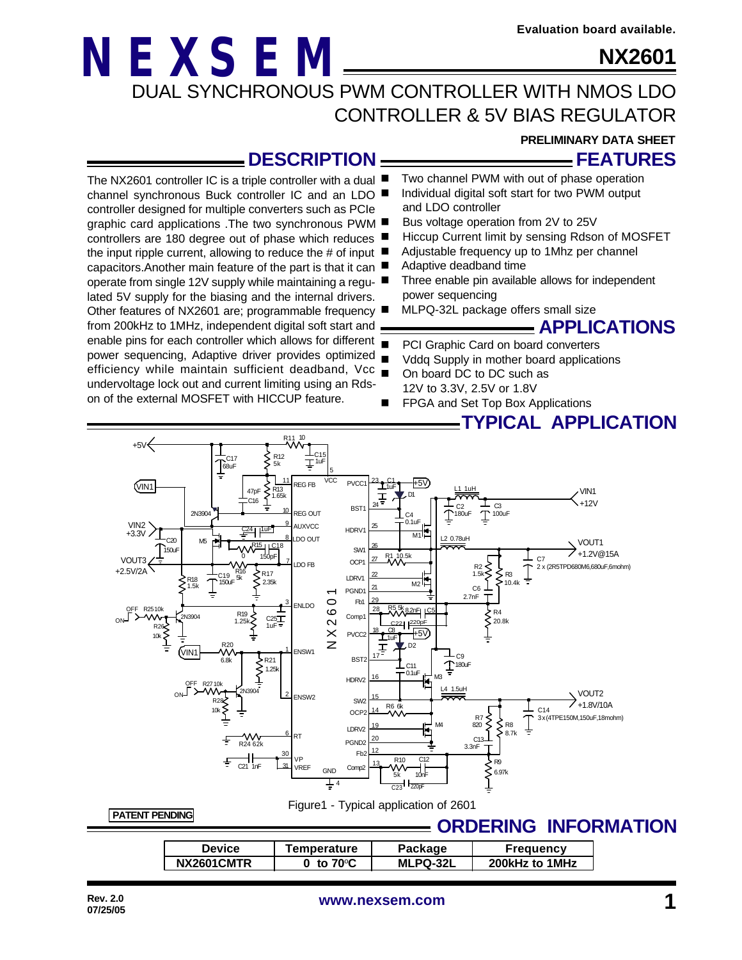**PRELIMINARY DATA SHEET**

**NX2601**

**FEATURES**

### **NEXSEM** DUAL SYNCHRONOUS PWM CONTROLLER WITH NMOS LDO CONTROLLER & 5V BIAS REGULATOR

### **DESCRIPTION**

controller designed for multiple converters such as PCIe graphic card applications .The two synchronous PWM controllers are 180 degree out of phase which reduces the input ripple current, allowing to reduce the # of input capacitors.Another main feature of the part is that it can operate from single 12V supply while maintaining a regulated 5V supply for the biasing and the internal drivers. Other features of NX2601 are; programmable frequency from 200kHz to 1MHz, independent digital soft start and

undervoltage lock out and current limiting using an Rdson of the external MOSFET with HICCUP feature.

- The NX2601 controller IC is a triple controller with a dual  $\blacksquare$ Two channel PWM with out of phase operation
- channel synchronous Buck controller IC and an LDO Individual digital soft start for two PWM output and LDO controller
	- Bus voltage operation from 2V to 25V
	- Hiccup Current limit by sensing Rdson of MOSFET
	- Adjustable frequency up to 1Mhz per channel
	- Adaptive deadband time
	- Three enable pin available allows for independent power sequencing
	- MLPQ-32L package offers small size

### **APPLICATIONS**

- enable pins for each controller which allows for different  $\overline{\phantom{a}}$ PCI Graphic Card on board converters
- power sequencing, Adaptive driver provides optimized efficiency while maintain sufficient deadband, Vcc  $\blacksquare$ Vddq Supply in mother board applications
	- On board DC to DC such as 12V to 3.3V, 2.5V or 1.8V
	- FPGA and Set Top Box Applications

### **TYPICAL APPLICATION**



Figure1 - Typical application of 2601

**PATENT PENDING**

### **ORDERING INFORMATION**

| <b>Device</b> | Temperature         | Package         | Frequency      |
|---------------|---------------------|-----------------|----------------|
| NX2601CMTR    | 0 to $70^{\circ}$ C | <b>MLPQ-32L</b> | 200kHz to 1MHz |
|               |                     |                 |                |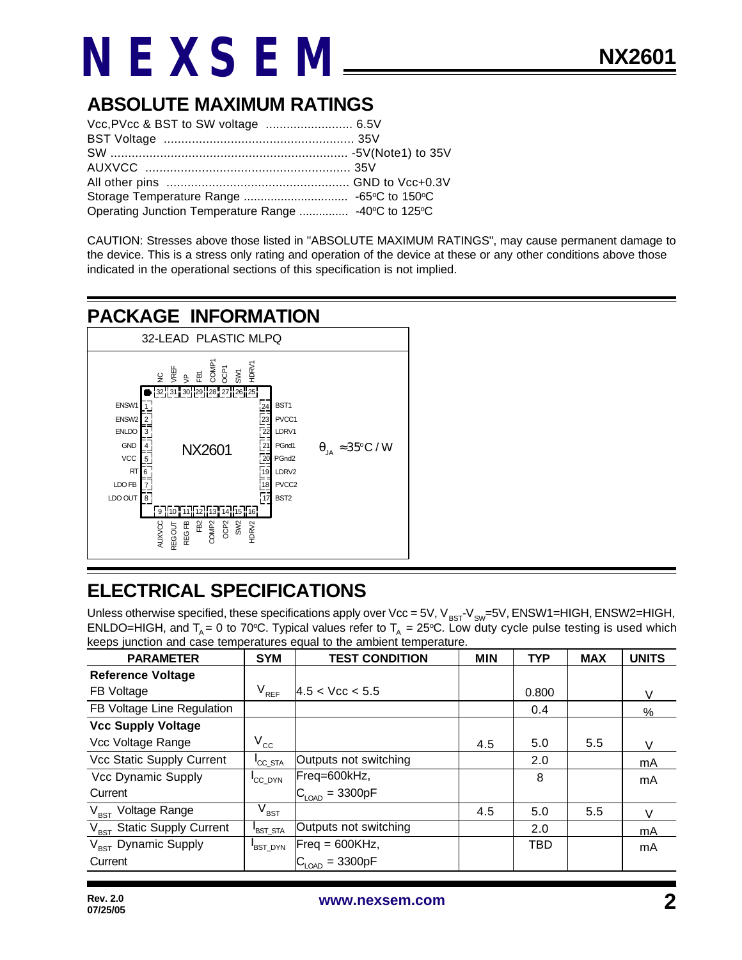### **ABSOLUTE MAXIMUM RATINGS**

| Operating Junction Temperature Range  -40°C to 125°C |  |
|------------------------------------------------------|--|

CAUTION: Stresses above those listed in "ABSOLUTE MAXIMUM RATINGS", may cause permanent damage to the device. This is a stress only rating and operation of the device at these or any other conditions above those indicated in the operational sections of this specification is not implied.

### **PACKAGE INFORMATION**



### **ELECTRICAL SPECIFICATIONS**

Unless otherwise specified, these specifications apply over Vcc = 5V,  $V_{BST}V_{SW}=5V$ , ENSW1=HIGH, ENSW2=HIGH, ENLDO=HIGH, and  $T_A = 0$  to 70°C. Typical values refer to  $T_A = 25$ °C. Low duty cycle pulse testing is used which keeps junction and case temperatures equal to the ambient temperature.

| <b>PARAMETER</b>                | <b>SYM</b>          | <b>TEST CONDITION</b>      | <b>MIN</b> | <b>TYP</b> | <b>MAX</b> | <b>UNITS</b> |
|---------------------------------|---------------------|----------------------------|------------|------------|------------|--------------|
| <b>Reference Voltage</b>        |                     |                            |            |            |            |              |
| FB Voltage                      | $V_{REF}$           | 4.5 < Vcc < 5.5            |            | 0.800      |            | V            |
| FB Voltage Line Regulation      |                     |                            |            | 0.4        |            | %            |
| <b>Vcc Supply Voltage</b>       |                     |                            |            |            |            |              |
| Vcc Voltage Range               | $V_{\rm cc}$        |                            | 4.5        | 5.0        | 5.5        | V            |
| Vcc Static Supply Current       | <sup>I</sup> CC STA | Outputs not switching      |            | 2.0        |            | mA           |
| Vcc Dynamic Supply              | CC DYN              | Freq=600kHz,               |            | 8          |            | mA           |
| Current                         |                     | $C_{\text{LOAD}} = 3300pF$ |            |            |            |              |
| V <sub>BST</sub> Voltage Range  | $\rm V_{\rm BST}$   |                            | 4.5        | 5.0        | 5.5        | V            |
| $V_{BST}$ Static Supply Current | BST STA             | Outputs not switching      |            | 2.0        |            | mA           |
| $V_{RST}$ Dynamic Supply        | <b>BST DYN</b>      | $Freq = 600KHz,$           |            | TBD        |            | mA           |
| Current                         |                     | $IC_{LOAD} = 3300pF$       |            |            |            |              |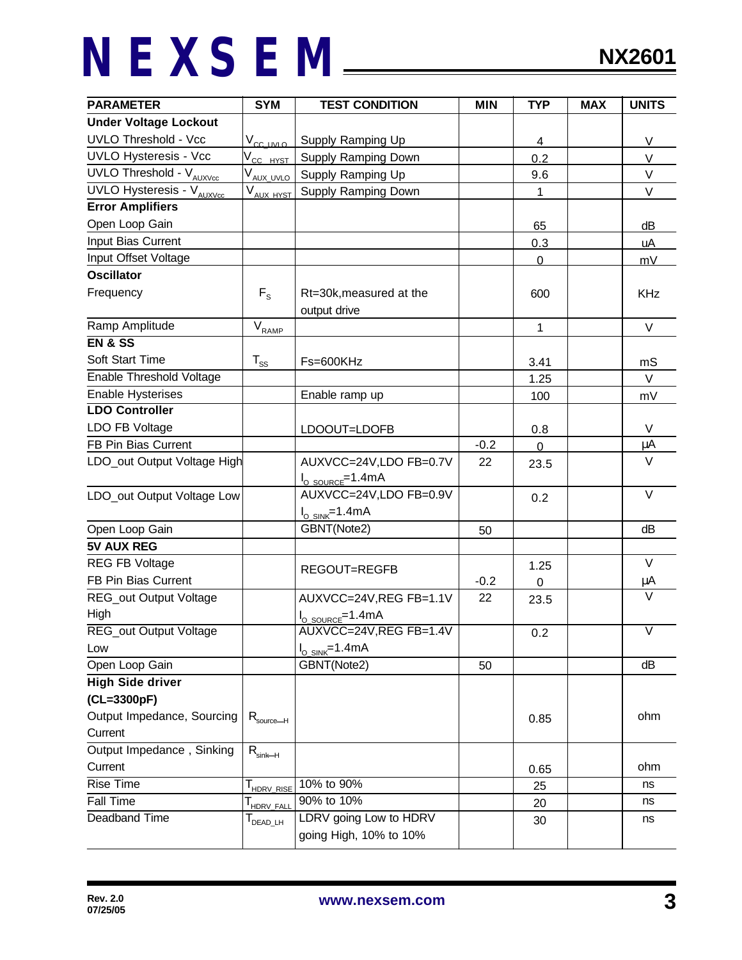| <b>PARAMETER</b>                           | <b>SYM</b>                  | <b>TEST CONDITION</b>                                           | <b>MIN</b> | <b>TYP</b>               | <b>MAX</b> | <b>UNITS</b>            |
|--------------------------------------------|-----------------------------|-----------------------------------------------------------------|------------|--------------------------|------------|-------------------------|
| <b>Under Voltage Lockout</b>               |                             |                                                                 |            |                          |            |                         |
| <b>UVLO Threshold - Vcc</b>                | $V_{cc}$ uvlo               | Supply Ramping Up                                               |            | 4                        |            | V                       |
| <b>UVLO Hysteresis - Vcc</b>               | V <sub>CC HYST</sub>        | Supply Ramping Down                                             |            | 0.2                      |            | $\vee$                  |
| $\overline{UVLO}$ Threshold - $V_{AUXVcc}$ | V <sub>AUX_UVLO</sub>       | Supply Ramping Up                                               |            | 9.6                      |            | V                       |
| UVLO Hysteresis - V <sub>AUXVcc</sub>      | $V_{\text{AUX HYST}}$       | Supply Ramping Down                                             |            | $\mathbf{1}$             |            | V                       |
| <b>Error Amplifiers</b>                    |                             |                                                                 |            |                          |            |                         |
| Open Loop Gain                             |                             |                                                                 |            | 65                       |            | dВ                      |
| Input Bias Current                         |                             |                                                                 |            | 0.3                      |            | uA                      |
| Input Offset Voltage                       |                             |                                                                 |            | $\overline{0}$           |            | mV                      |
| <b>Oscillator</b>                          |                             |                                                                 |            |                          |            |                         |
| Frequency                                  | $F_{\rm s}$                 | Rt=30k, measured at the<br>output drive                         |            | 600                      |            | <b>KHz</b>              |
| Ramp Amplitude                             | $\rm V_{\rm RAMP}$          |                                                                 |            | $\mathbf{1}$             |            | $\vee$                  |
| <b>EN &amp; SS</b>                         |                             |                                                                 |            |                          |            |                         |
| Soft Start Time                            | $T_{\rm ss}$                | Fs=600KHz                                                       |            | 3.41                     |            | mS                      |
| <b>Enable Threshold Voltage</b>            |                             |                                                                 |            | 1.25                     |            | $\vee$                  |
| <b>Enable Hysterises</b>                   |                             | Enable ramp up                                                  |            | 100                      |            | mV                      |
| <b>LDO Controller</b>                      |                             |                                                                 |            |                          |            |                         |
| LDO FB Voltage                             |                             | LDOOUT=LDOFB                                                    |            | 0.8                      |            | V                       |
| FB Pin Bias Current                        |                             |                                                                 | $-0.2$     | $\overline{0}$           |            | μA                      |
| LDO_out Output Voltage High                |                             | AUXVCC=24V,LDO FB=0.7V<br>$I_{\text{O SOURCE}} = 1.4 \text{mA}$ | 22         | 23.5                     |            | $\vee$                  |
| LDO_out Output Voltage Low                 |                             | AUXVCC=24V,LDO FB=0.9V<br>$I_{O\_SINK}$ =1.4mA                  |            | 0.2                      |            | $\vee$                  |
| Open Loop Gain                             |                             | GBNT(Note2)                                                     | 50         |                          |            | dB                      |
| <b>5V AUX REG</b>                          |                             |                                                                 |            |                          |            |                         |
| <b>REG FB Voltage</b>                      |                             |                                                                 |            |                          |            | V                       |
| FB Pin Bias Current                        |                             | REGOUT=REGFB                                                    | $-0.2$     | 1.25<br>$\boldsymbol{0}$ |            | μA                      |
| REG_out Output Voltage<br>High             |                             | AUXVCC=24V, REG FB=1.1V                                         | 22         | 23.5                     |            |                         |
| REG_out Output Voltage                     |                             | I <sub>O_SOURCE</sub> =1.4mA<br>AUXVCC=24V, REG FB=1.4V         |            | 0.2                      |            | $\overline{\mathsf{V}}$ |
| Low                                        |                             | $I_{O\_SINK}$ =1.4mA                                            |            |                          |            |                         |
| Open Loop Gain                             |                             | GBNT(Note2)                                                     | 50         |                          |            | dB                      |
| <b>High Side driver</b>                    |                             |                                                                 |            |                          |            |                         |
| (CL=3300pF)                                |                             |                                                                 |            |                          |            |                         |
| Output Impedance, Sourcing                 |                             |                                                                 |            | 0.85                     |            | ohm                     |
| Current                                    | $R_{\rm source-H}$          |                                                                 |            |                          |            |                         |
| Output Impedance, Sinking                  |                             |                                                                 |            |                          |            |                         |
| Current                                    | $R_{\text{sink}\text{--}H}$ |                                                                 |            | 0.65                     |            | ohm                     |
| <b>Rise Time</b>                           |                             | 10% to 90%                                                      |            | 25                       |            | ns                      |
| Fall Time                                  | T <sub>HDRV_RISE</sub>      | 90% to 10%                                                      |            |                          |            | ns                      |
| Deadband Time                              | T <sub>HDRV_FALL</sub>      | LDRV going Low to HDRV                                          |            | 20                       |            | ns                      |
|                                            | DEAD_LH                     | going High, 10% to 10%                                          |            | 30                       |            |                         |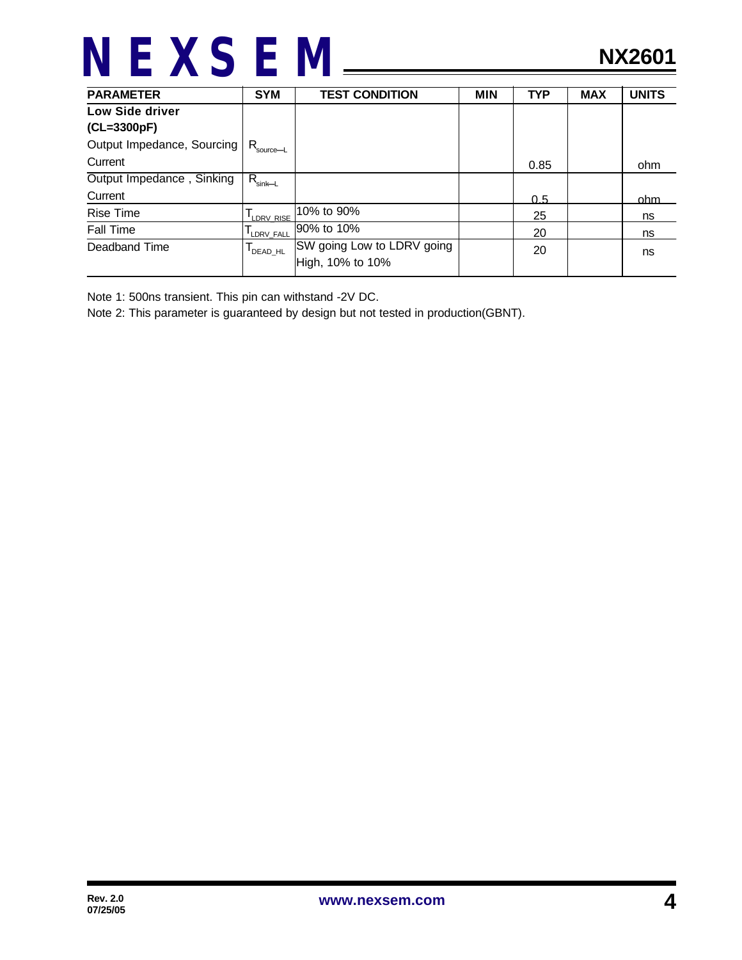| <b>PARAMETER</b>           | <b>SYM</b>                               | <b>TEST CONDITION</b>      | <b>MIN</b> | <b>TYP</b> | <b>MAX</b> | <b>UNITS</b> |
|----------------------------|------------------------------------------|----------------------------|------------|------------|------------|--------------|
| Low Side driver            |                                          |                            |            |            |            |              |
| (CL=3300pF)                |                                          |                            |            |            |            |              |
| Output Impedance, Sourcing | $R_{\text{source} \rightarrow \text{L}}$ |                            |            |            |            |              |
| Current                    |                                          |                            |            | 0.85       |            | ohm          |
| Output Impedance, Sinking  | $R_{\text{sink}\text{-}L}$               |                            |            |            |            |              |
| Current                    |                                          |                            |            | 0.5        |            | ohm.         |
| <b>Rise Time</b>           | LDRV RISE                                | 10% to 90%                 |            | 25         |            | ns           |
| Fall Time                  | LDRV FALL                                | 90% to 10%                 |            | 20         |            | ns           |
| Deadband Time              | DEAD_HL                                  | SW going Low to LDRV going |            | 20         |            | ns           |
|                            |                                          | High, 10% to 10%           |            |            |            |              |

Note 1: 500ns transient. This pin can withstand -2V DC.

Note 2: This parameter is guaranteed by design but not tested in production(GBNT).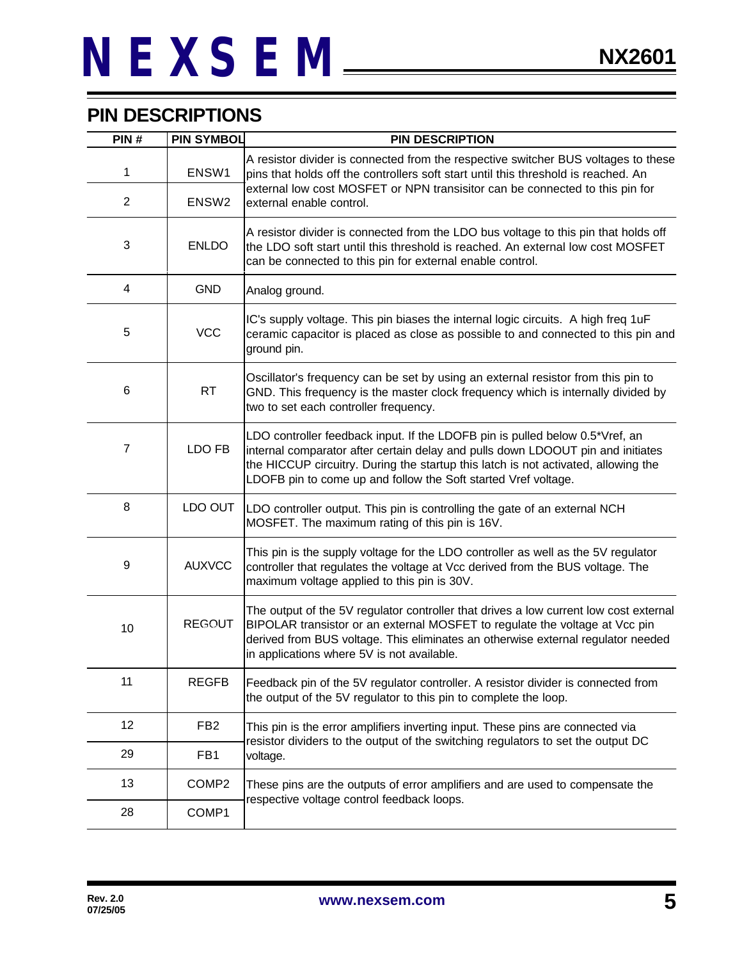### **PIN DESCRIPTIONS**

| PIN#           | <b>PIN SYMBOL</b> | <b>PIN DESCRIPTION</b>                                                                                                                                                                                                                                                                                                  |
|----------------|-------------------|-------------------------------------------------------------------------------------------------------------------------------------------------------------------------------------------------------------------------------------------------------------------------------------------------------------------------|
| 1              | ENSW1             | A resistor divider is connected from the respective switcher BUS voltages to these<br>pins that holds off the controllers soft start until this threshold is reached. An                                                                                                                                                |
| $\overline{2}$ | ENSW <sub>2</sub> | external low cost MOSFET or NPN transisitor can be connected to this pin for<br>external enable control.                                                                                                                                                                                                                |
| 3              | <b>ENLDO</b>      | A resistor divider is connected from the LDO bus voltage to this pin that holds off<br>the LDO soft start until this threshold is reached. An external low cost MOSFET<br>can be connected to this pin for external enable control.                                                                                     |
| 4              | <b>GND</b>        | Analog ground.                                                                                                                                                                                                                                                                                                          |
| 5              | <b>VCC</b>        | IC's supply voltage. This pin biases the internal logic circuits. A high freq 1uF<br>ceramic capacitor is placed as close as possible to and connected to this pin and<br>ground pin.                                                                                                                                   |
| 6              | <b>RT</b>         | Oscillator's frequency can be set by using an external resistor from this pin to<br>GND. This frequency is the master clock frequency which is internally divided by<br>two to set each controller frequency.                                                                                                           |
| $\overline{7}$ | LDO FB            | LDO controller feedback input. If the LDOFB pin is pulled below 0.5*Vref, an<br>internal comparator after certain delay and pulls down LDOOUT pin and initiates<br>the HICCUP circuitry. During the startup this latch is not activated, allowing the<br>LDOFB pin to come up and follow the Soft started Vref voltage. |
| 8              | LDO OUT           | LDO controller output. This pin is controlling the gate of an external NCH<br>MOSFET. The maximum rating of this pin is 16V.                                                                                                                                                                                            |
| 9              | <b>AUXVCC</b>     | This pin is the supply voltage for the LDO controller as well as the 5V regulator<br>controller that regulates the voltage at Vcc derived from the BUS voltage. The<br>maximum voltage applied to this pin is 30V.                                                                                                      |
| 10             | <b>REGOUT</b>     | The output of the 5V regulator controller that drives a low current low cost external<br>BIPOLAR transistor or an external MOSFET to regulate the voltage at Vcc pin<br>derived from BUS voltage. This eliminates an otherwise external regulator needed<br>in applications where 5V is not available.                  |
| 11             | <b>REGFB</b>      | Feedback pin of the 5V regulator controller. A resistor divider is connected from<br>the output of the 5V regulator to this pin to complete the loop.                                                                                                                                                                   |
| 12             | FB <sub>2</sub>   | This pin is the error amplifiers inverting input. These pins are connected via<br>resistor dividers to the output of the switching regulators to set the output DC                                                                                                                                                      |
| 29             | FB <sub>1</sub>   | voltage.                                                                                                                                                                                                                                                                                                                |
| 13             | COMP <sub>2</sub> | These pins are the outputs of error amplifiers and are used to compensate the                                                                                                                                                                                                                                           |
| 28             | COMP1             | respective voltage control feedback loops.                                                                                                                                                                                                                                                                              |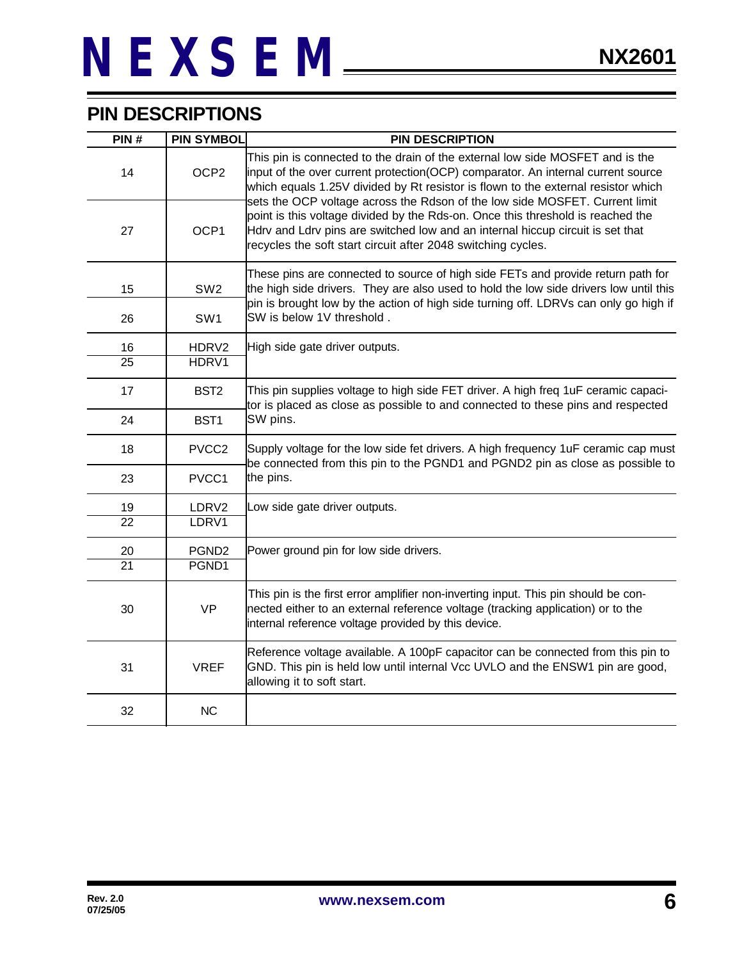### **PIN DESCRIPTIONS**

| PIN#            | <b>PIN SYMBOL</b> | <b>PIN DESCRIPTION</b>                                                                                                                                                                                                                                                                                                                |
|-----------------|-------------------|---------------------------------------------------------------------------------------------------------------------------------------------------------------------------------------------------------------------------------------------------------------------------------------------------------------------------------------|
| 14              | OCP <sub>2</sub>  | This pin is connected to the drain of the external low side MOSFET and is the<br>input of the over current protection(OCP) comparator. An internal current source<br>which equals 1.25V divided by Rt resistor is flown to the external resistor which<br>sets the OCP voltage across the Rdson of the low side MOSFET. Current limit |
| 27              | OCP1              | point is this voltage divided by the Rds-on. Once this threshold is reached the<br>Hdrv and Ldrv pins are switched low and an internal hiccup circuit is set that<br>recycles the soft start circuit after 2048 switching cycles.                                                                                                     |
| 15              | SW <sub>2</sub>   | These pins are connected to source of high side FETs and provide return path for<br>the high side drivers. They are also used to hold the low side drivers low until this                                                                                                                                                             |
| 26              | SW <sub>1</sub>   | pin is brought low by the action of high side turning off. LDRVs can only go high if<br>SW is below 1V threshold.                                                                                                                                                                                                                     |
| 16              | HDRV2             | High side gate driver outputs.                                                                                                                                                                                                                                                                                                        |
| 25              | HDRV1             |                                                                                                                                                                                                                                                                                                                                       |
| 17              | BST <sub>2</sub>  | This pin supplies voltage to high side FET driver. A high freq 1uF ceramic capaci-<br>tor is placed as close as possible to and connected to these pins and respected                                                                                                                                                                 |
| 24              | BST1              | SW pins.                                                                                                                                                                                                                                                                                                                              |
| 18              | PVCC <sub>2</sub> | Supply voltage for the low side fet drivers. A high frequency 1uF ceramic cap must<br>be connected from this pin to the PGND1 and PGND2 pin as close as possible to                                                                                                                                                                   |
| 23              | PVCC1             | the pins.                                                                                                                                                                                                                                                                                                                             |
| 19              | LDRV2             | Low side gate driver outputs.                                                                                                                                                                                                                                                                                                         |
| $\overline{22}$ | LDRV1             |                                                                                                                                                                                                                                                                                                                                       |
| 20              | PGND <sub>2</sub> | Power ground pin for low side drivers.                                                                                                                                                                                                                                                                                                |
| $\overline{21}$ | PGND1             |                                                                                                                                                                                                                                                                                                                                       |
| 30              | <b>VP</b>         | This pin is the first error amplifier non-inverting input. This pin should be con-<br>nected either to an external reference voltage (tracking application) or to the<br>internal reference voltage provided by this device.                                                                                                          |
| 31              | <b>VREF</b>       | Reference voltage available. A 100pF capacitor can be connected from this pin to<br>GND. This pin is held low until internal Vcc UVLO and the ENSW1 pin are good,<br>allowing it to soft start.                                                                                                                                       |
| 32              | <b>NC</b>         |                                                                                                                                                                                                                                                                                                                                       |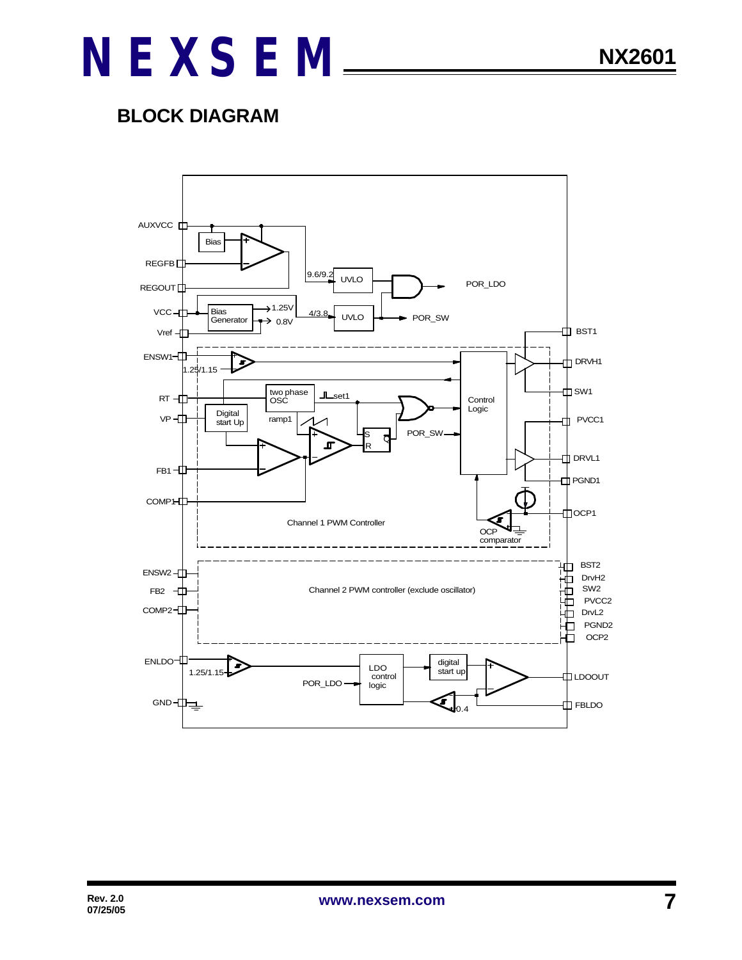### **BLOCK DIAGRAM**

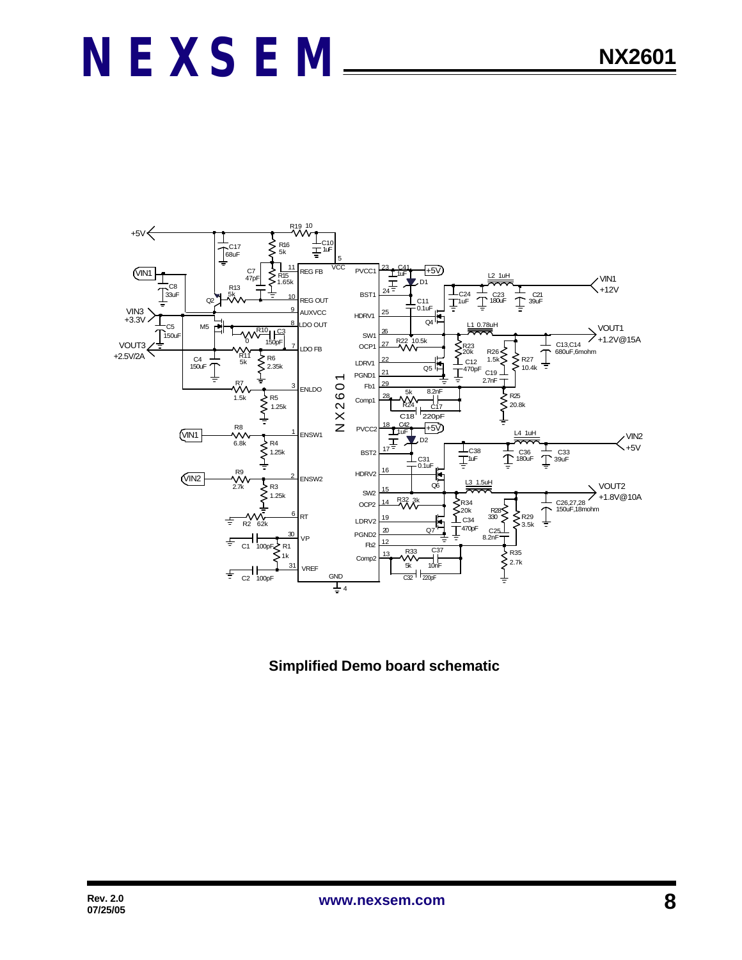

 **Simplified Demo board schematic**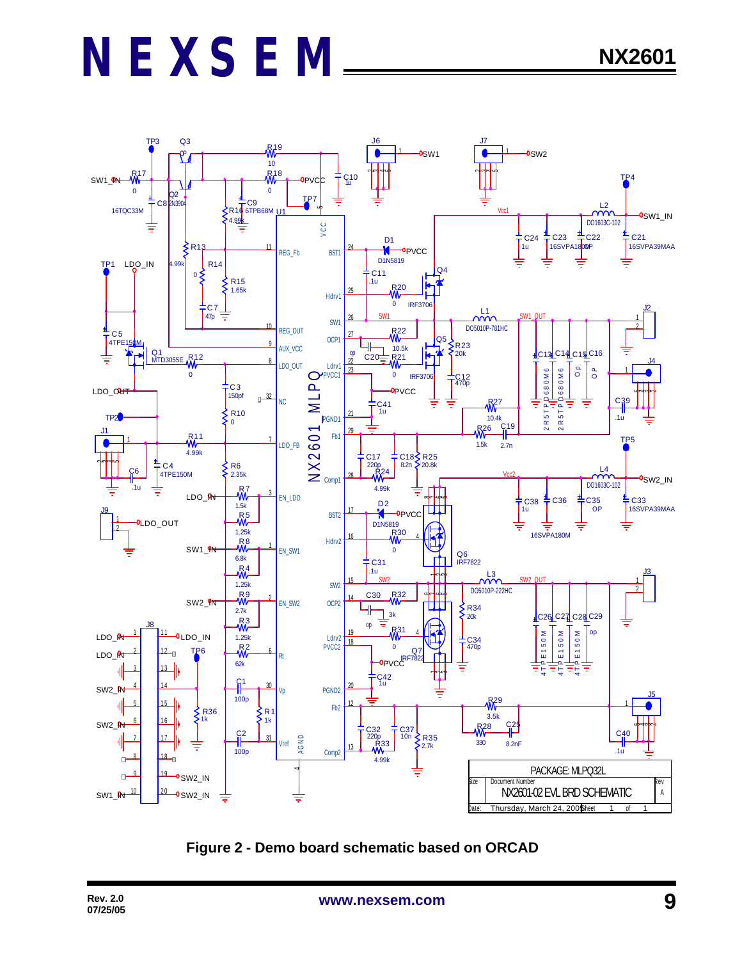

**Figure 2 - Demo board schematic based on ORCAD**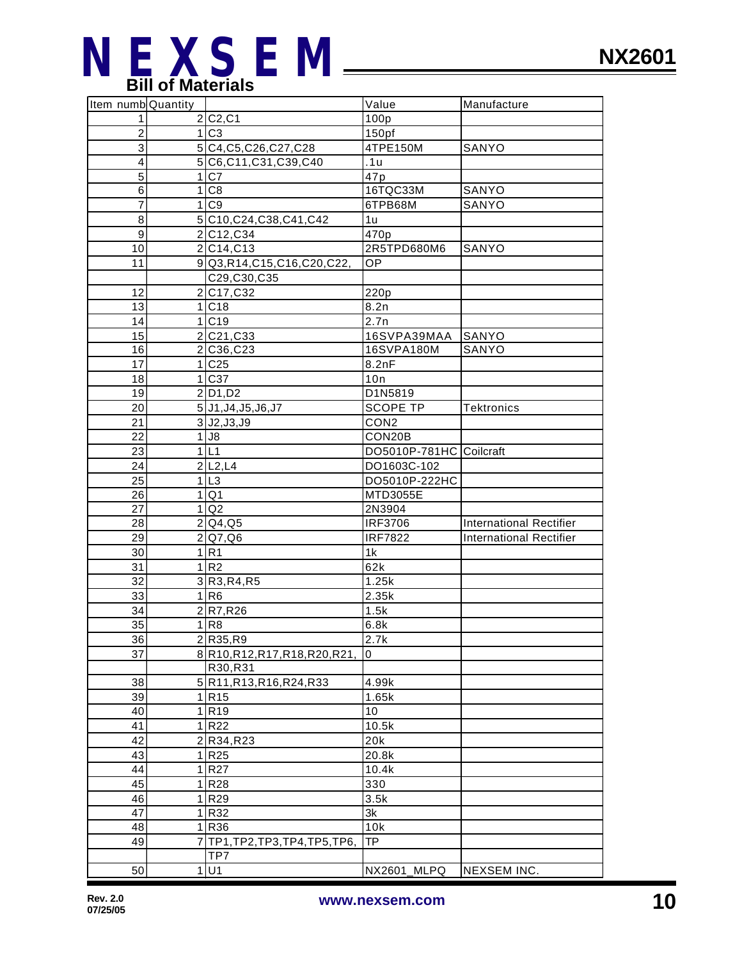

| Item numb Quantity |                                     | Value                   | Manufacture                    |
|--------------------|-------------------------------------|-------------------------|--------------------------------|
| $\mathbf{1}$       | 2 C2,C1                             | 100p                    |                                |
| $\overline{c}$     | 1 C3                                | 150 <sub>pf</sub>       |                                |
| $\overline{3}$     | 5 C4, C5, C26, C27, C28             | 4TPE150M                | SANYO                          |
| $\overline{4}$     | 5 C6, C11, C31, C39, C40            | .1u                     |                                |
| 5                  | 1 C7                                | 47p                     |                                |
| 6                  | 1 C8                                | 16TQC33M                | SANYO                          |
| $\overline{7}$     | 1 C9                                | 6TPB68M                 | SANYO                          |
| 8                  | 5 C10, C24, C38, C41, C42           | 1u                      |                                |
| $\overline{9}$     | 2C12,C34                            | 470p                    |                                |
| 10                 | 2 C14,C13                           | 2R5TPD680M6             | SANYO                          |
| 11                 | 9 Q3, R14, C15, C16, C20, C22,      | OP                      |                                |
|                    | C29, C30, C35                       |                         |                                |
| 12                 | 2C17,C32                            | 220p                    |                                |
| 13                 | 1 C18                               | 8.2n                    |                                |
| 14                 | 1 C19                               | 2.7n                    |                                |
| 15                 | 2 C <sub>21</sub> , C <sub>33</sub> | 16SVPA39MAA             | SANYO                          |
| 16                 | 2 C36, C23                          | 16SVPA180M              | SANYO                          |
| 17                 | 1 C25                               | 8.2nF                   |                                |
| 18                 | 1 C37                               | 10n                     |                                |
| 19                 | $2$ D <sub>1</sub> , D <sub>2</sub> | D1N5819                 |                                |
| 20                 | 5 J1, J4, J5, J6, J7                | <b>SCOPE TP</b>         | Tektronics                     |
| 21                 | 3 J2,J3,J9                          | CON <sub>2</sub>        |                                |
| 22                 | $1$ J <sub>8</sub>                  | CON20B                  |                                |
| 23                 | 1 L1                                | DO5010P-781HC Coilcraft |                                |
| 24                 | 2 L2,L4                             | DO1603C-102             |                                |
| 25                 | 1 L3                                | DO5010P-222HC           |                                |
| 26                 |                                     |                         |                                |
| 27                 | 1 Q1<br>1 Q2                        | MTD3055E<br>2N3904      |                                |
| 28                 | 2 Q4,Q5                             | <b>IRF3706</b>          | <b>International Rectifier</b> |
| 29                 |                                     | <b>IRF7822</b>          |                                |
|                    | 2 Q7,Q6                             |                         | <b>International Rectifier</b> |
| 30                 | 1 R1                                | 1k                      |                                |
| 31                 | 1 <sup>R2</sup>                     | 62k                     |                                |
| 32                 | 3 R3, R4, R5                        | 1.25k                   |                                |
| 33                 | 1 R6                                | 2.35k                   |                                |
| 34                 | 2 R7, R26                           | 1.5k                    |                                |
| 35                 | 1 R8                                | 6.8k                    |                                |
| 36                 | 2 R35, R9                           | 2.7k                    |                                |
| 37                 | 8 R10, R12, R17, R18, R20, R21,     | 0                       |                                |
|                    | R30, R31                            |                         |                                |
| 38                 | 5 R11, R13, R16, R24, R33           | 4.99k                   |                                |
| 39                 | 1 R <sub>15</sub>                   | 1.65k                   |                                |
| 40                 | 1 R <sub>19</sub>                   | 10                      |                                |
| 41                 | 1 R22                               | 10.5k                   |                                |
| 42                 | 2 R34, R23                          | 20k                     |                                |
| 43                 | 1 R25                               | 20.8k                   |                                |
| 44                 | 1 R27                               | 10.4k                   |                                |
| 45                 | 1 R28                               | 330                     |                                |
| 46                 | 1 R29                               | 3.5k                    |                                |
| 47                 | 1 R32                               | 3k                      |                                |
| 48                 | 1 R36                               | 10k                     |                                |
| 49                 | 7TP1, TP2, TP3, TP4, TP5, TP6,      | <b>TP</b>               |                                |
|                    | TP7                                 |                         |                                |
| 50                 | 1 U1                                | NX2601_MLPQ             | NEXSEM INC.                    |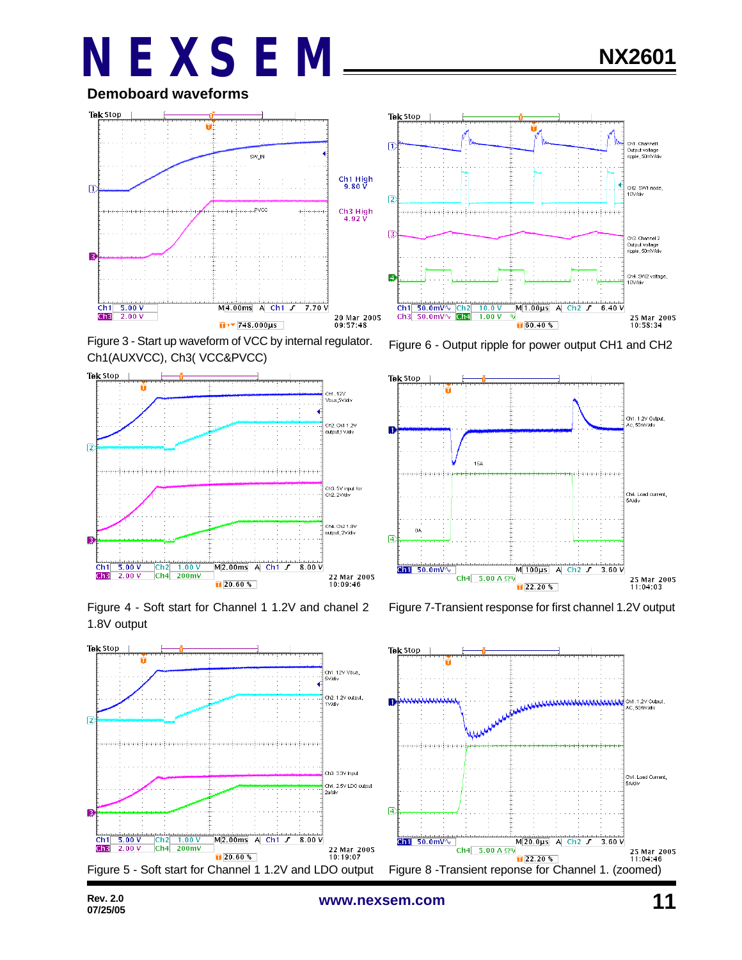**Demoboard waveforms**



Figure 3 - Start up waveform of VCC by internal regulator. Ch1(AUXVCC), Ch3( VCC&PVCC)



1.8V output











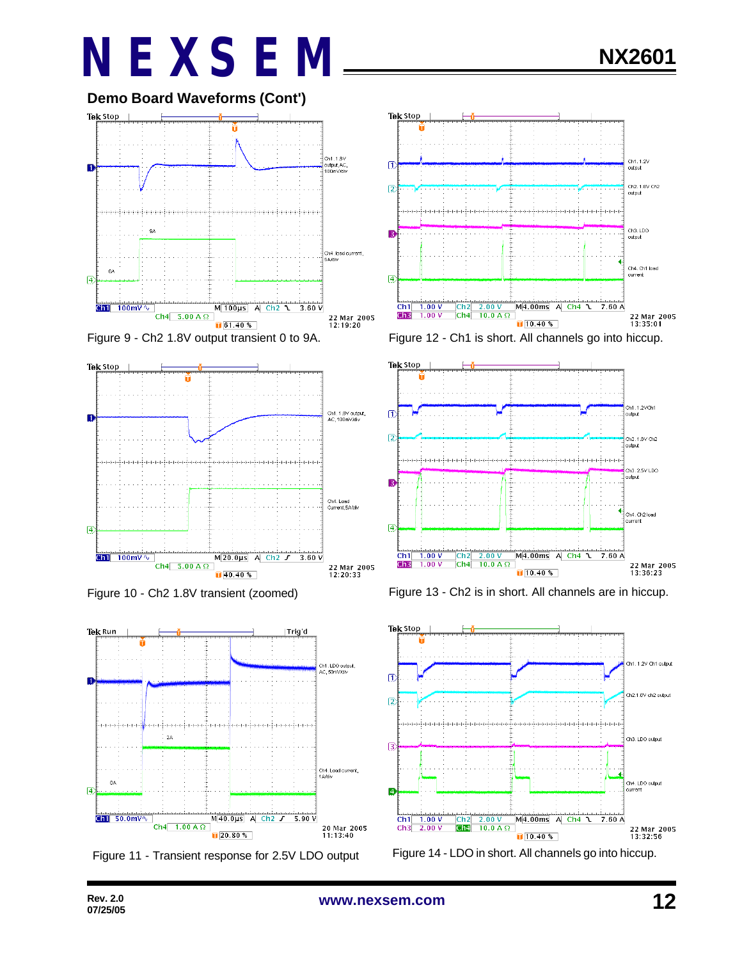















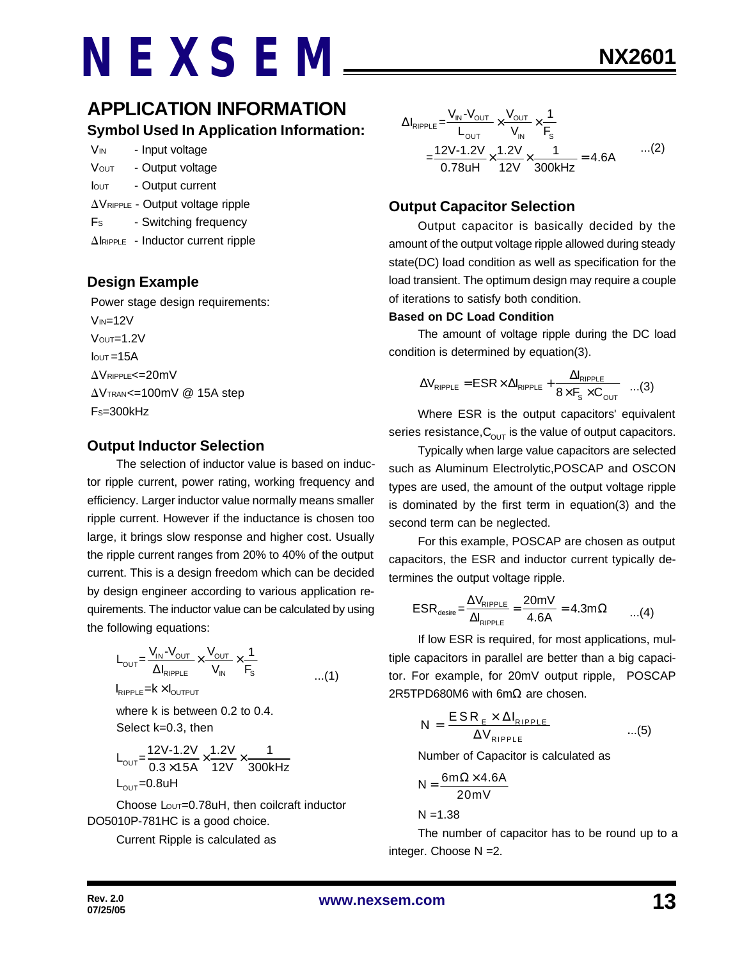### **APPLICATION INFORMATION Symbol Used In Application Information:**

| <b>V<sub>IN</sub></b> | - Input voltage                                    |
|-----------------------|----------------------------------------------------|
| <b>VOUT</b>           | - Output voltage                                   |
| <b>I</b> out          | - Output current                                   |
|                       | $\Delta V_{\text{RIPPLE}}$ - Output voltage ripple |
| Fs                    | - Switching frequency                              |

 $\Delta$ IRIPPLE - Inductor current ripple

### **Design Example**

 Power stage design requirements:  $V_{IN}=12V$  $V$ <sup>OUT=1.2V</sup>  $I<sub>OUT</sub> = 15A$  $\Delta$ VRIPPLE<=20mV  $\Delta V$ TRAN<=100mV @ 15A step  $Fs = 300kHz$ 

#### **Output Inductor Selection**

The selection of inductor value is based on inductor ripple current, power rating, working frequency and efficiency. Larger inductor value normally means smaller ripple current. However if the inductance is chosen too large, it brings slow response and higher cost. Usually the ripple current ranges from 20% to 40% of the output current. This is a design freedom which can be decided by design engineer according to various application requirements. The inductor value can be calculated by using the following equations:

$$
L_{\text{OUT}} = \frac{V_{\text{IN}} - V_{\text{OUT}}}{\Delta I_{\text{RIPPLE}}} \times \frac{V_{\text{OUT}}}{V_{\text{IN}}} \times \frac{1}{F_{\text{S}}}
$$
...(1)

where k is between 0.2 to 0.4. Select k=0.3, then

$$
L_{\text{OUT}} = \frac{12V - 1.2V}{0.3 \times 15A} \times \frac{1.2V}{12V} \times \frac{1}{300kHz}
$$
  
L\_{\text{OUT}} = 0.8uH

Choose Lout=0.78uH, then coilcraft inductor DO5010P-781HC is a good choice.

Current Ripple is calculated as

$$
\Delta I_{RIPPLE} = \frac{V_{IN} - V_{OUT}}{L_{OUT}} \times \frac{V_{OUT}}{V_{IN}} \times \frac{1}{F_s}
$$
  
= 
$$
\frac{12V - 1.2V}{0.78uH} \times \frac{1.2V}{12V} \times \frac{1}{300kHz} = 4.6A
$$
...(2)

### **Output Capacitor Selection**

Output capacitor is basically decided by the amount of the output voltage ripple allowed during steady state(DC) load condition as well as specification for the load transient. The optimum design may require a couple of iterations to satisfy both condition.

#### **Based on DC Load Condition**

The amount of voltage ripple during the DC load condition is determined by equation(3).

$$
\Delta V_{\text{RIPPLE}} = \text{ESR} \times \Delta I_{\text{RIPPLE}} + \frac{\Delta I_{\text{RIPPLE}}}{8 \times F_{\text{s}} \times C_{\text{OUT}}} \quad ...(3)
$$

Where ESR is the output capacitors' equivalent series resistance,  $C_{\text{OUT}}$  is the value of output capacitors.

Typically when large value capacitors are selected such as Aluminum Electrolytic,POSCAP and OSCON types are used, the amount of the output voltage ripple is dominated by the first term in equation(3) and the second term can be neglected.

For this example, POSCAP are chosen as output capacitors, the ESR and inductor current typically determines the output voltage ripple.

$$
ESR_{\text{desire}} = \frac{\Delta V_{\text{RIPPLE}}}{\Delta I_{\text{RIPPLE}}} = \frac{20 \text{mV}}{4.6 \text{A}} = 4.3 \text{m}\Omega \qquad ...(4)
$$

If low ESR is required, for most applications, multiple capacitors in parallel are better than a big capacitor. For example, for 20mV output ripple, POSCAP 2R5TPD680M6 with 6mΩ are chosen.

$$
N = \frac{ESR_{E} \times \Delta I_{RIPPLE}}{\Delta V_{RIPPLE}} \qquad ...(5)
$$

Number of Capacitor is calculated as

$$
N = \frac{6m\Omega \times 4.6A}{20mV}
$$

 $N = 1.38$ 

The number of capacitor has to be round up to a integer. Choose N =2.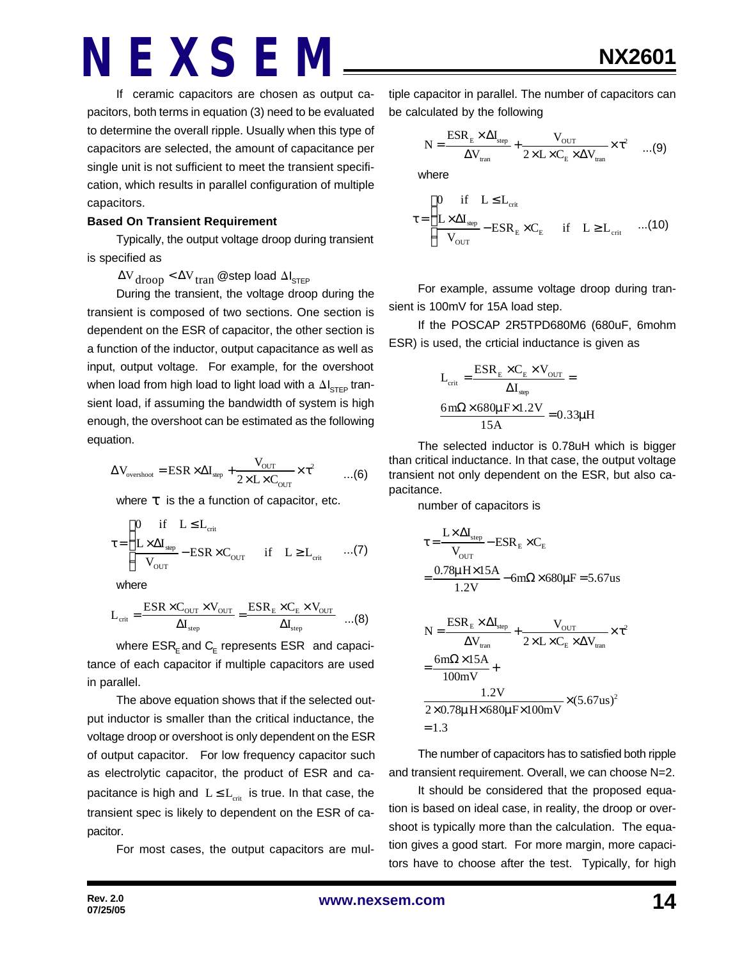If ceramic capacitors are chosen as output capacitors, both terms in equation (3) need to be evaluated to determine the overall ripple. Usually when this type of capacitors are selected, the amount of capacitance per single unit is not sufficient to meet the transient specification, which results in parallel configuration of multiple capacitors.

#### **Based On Transient Requirement**

Typically, the output voltage droop during transient is specified as

 $\Delta V_{\rm drop} < \Delta V_{\rm tran}$  @step load  $\Delta I_{\rm STEP}$ 

During the transient, the voltage droop during the transient is composed of two sections. One section is dependent on the ESR of capacitor, the other section is a function of the inductor, output capacitance as well as input, output voltage. For example, for the overshoot when load from high load to light load with a  $\Delta I_{\text{STEP}}$  transient load, if assuming the bandwidth of system is high enough, the overshoot can be estimated as the following equation.

$$
\Delta V_{\text{overshoot}} = ESR \times \Delta I_{\text{step}} + \frac{V_{\text{OUT}}}{2 \times L \times C_{\text{OUT}}} \times \tau^2 \qquad \dots (6)
$$

where *t* is the a function of capacitor, etc.

$$
\tau = \begin{cases}\n0 & \text{if} \quad L \leq L_{\text{crit}} \\
\frac{L \times \Delta I_{\text{sep}}}{V_{\text{OUT}}} - \text{ESR} \times C_{\text{OUT}} & \text{if} \quad L \geq L_{\text{crit}} \quad \dots (7)\n\end{cases}
$$

where

$$
L_{\rm crit} = \frac{ESR \times C_{\rm OUT} \times V_{\rm OUT}}{\Delta I_{\rm step}} = \frac{ESR_{\rm E} \times C_{\rm E} \times V_{\rm OUT}}{\Delta I_{\rm step}} \quad ...(8)
$$

where  $\mathsf{ESR}_\mathsf{E}$  and  $\mathsf{C}_\mathsf{E}$  represents  $\mathsf{ESR}\;$  and capacitance of each capacitor if multiple capacitors are used in parallel.

The above equation shows that if the selected output inductor is smaller than the critical inductance, the voltage droop or overshoot is only dependent on the ESR of output capacitor. For low frequency capacitor such as electrolytic capacitor, the product of ESR and capacitance is high and  $L \le L_{crit}$  is true. In that case, the transient spec is likely to dependent on the ESR of capacitor.

For most cases, the output capacitors are mul-

tiple capacitor in parallel. The number of capacitors can be calculated by the following

$$
N = \frac{ESR_{E} \times \Delta I_{\text{step}}}{\Delta V_{\text{tran}}} + \frac{V_{\text{OUT}}}{2 \times L \times C_{E} \times \Delta V_{\text{tran}}} \times \tau^{2} \quad ...(9)
$$

where

$$
\tau = \begin{cases}\n0 & \text{if} \quad L \leq L_{\text{crit}} \\
\frac{L \times \Delta I_{\text{step}}}{V_{\text{OUT}}} - \text{ESR}_{\text{E}} \times C_{\text{E}} & \text{if} \quad L \geq L_{\text{crit}} \quad ...(10)\n\end{cases}
$$

For example, assume voltage droop during transient is 100mV for 15A load step.

If the POSCAP 2R5TPD680M6 (680uF, 6mohm ESR) is used, the crticial inductance is given as

$$
L_{crit} = \frac{ESR_{E} \times C_{E} \times V_{OUT}}{\Delta I_{sep}} =
$$

$$
\frac{6m\Omega \times 680\mu F \times 1.2V}{15A} = 0.33\mu H
$$

The selected inductor is 0.78uH which is bigger than critical inductance. In that case, the output voltage transient not only dependent on the ESR, but also capacitance.

number of capacitors is

$$
\tau = \frac{L \times \Delta I_{\text{step}}}{V_{\text{OUT}}} - \text{ESR}_{\text{E}} \times C_{\text{E}}
$$

$$
= \frac{0.78 \mu \text{H} \times 15 \text{A}}{1.2 \text{V}} - 6 \text{m}\Omega \times 680 \mu \text{F} = 5.67 \text{us}
$$

$$
N = \frac{ESR_{E} \times \Delta I_{step}}{\Delta V_{tran}} + \frac{V_{OUT}}{2 \times L \times C_{E} \times \Delta V_{tran}} \times \tau^{2}
$$

$$
= \frac{6m\Omega \times 15A}{100mV} + \frac{1.2V}{2 \times 0.78\mu \text{ H} \times 680\mu \text{F} \times 100mV} \times (5.67us)^{2}
$$

$$
= 1.3
$$

The number of capacitors has to satisfied both ripple and transient requirement. Overall, we can choose N=2.

It should be considered that the proposed equation is based on ideal case, in reality, the droop or overshoot is typically more than the calculation. The equation gives a good start. For more margin, more capacitors have to choose after the test. Typically, for high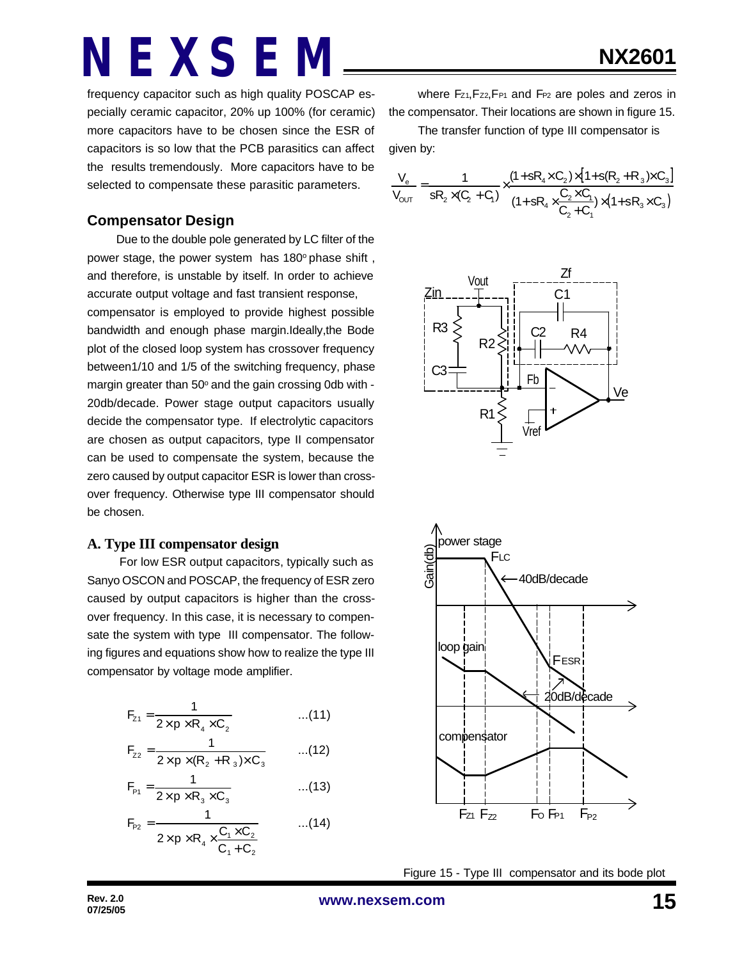frequency capacitor such as high quality POSCAP especially ceramic capacitor, 20% up 100% (for ceramic) more capacitors have to be chosen since the ESR of capacitors is so low that the PCB parasitics can affect the results tremendously. More capacitors have to be selected to compensate these parasitic parameters.

#### **Compensator Design**

Due to the double pole generated by LC filter of the power stage, the power system has 180° phase shift, and therefore, is unstable by itself. In order to achieve accurate output voltage and fast transient response, compensator is employed to provide highest possible bandwidth and enough phase margin.Ideally,the Bode plot of the closed loop system has crossover frequency between1/10 and 1/5 of the switching frequency, phase margin greater than 50° and the gain crossing 0db with -20db/decade. Power stage output capacitors usually decide the compensator type. If electrolytic capacitors are chosen as output capacitors, type II compensator can be used to compensate the system, because the zero caused by output capacitor ESR is lower than crossover frequency. Otherwise type III compensator should be chosen.

#### **A. Type III compensator design**

 For low ESR output capacitors, typically such as Sanyo OSCON and POSCAP, the frequency of ESR zero caused by output capacitors is higher than the crossover frequency. In this case, it is necessary to compensate the system with type III compensator. The following figures and equations show how to realize the type III compensator by voltage mode amplifier.

$$
F_{z_1} = \frac{1}{2 \times p \times R_4 \times C_2}
$$
...(11)

$$
F_{z2} = \frac{1}{2 \times p \times (R_2 + R_3) \times C_3}
$$
...(12)

$$
F_{p_1} = \frac{1}{2 \times p \times R_3 \times C_3}
$$
...(13)

$$
F_{P2} = \frac{1}{2 \times p \times R_4 \times \frac{C_1 \times C_2}{C_1 + C_2}}
$$
...(14)

where Fz1, Fz2, F<sub>P1</sub> and F<sub>P2</sub> are poles and zeros in the compensator. Their locations are shown in figure 15.

The transfer function of type III compensator is given by:

$$
\frac{V_e}{V_{OUT}} = \frac{1}{sR_2 \times (C_2 + C_1)} \times \frac{(1 + sR_4 \times C_2) \times [1 + s(R_2 + R_3) \times C_3]}{(1 + sR_4 \times \frac{C_2 \times C_1}{C_2 + C_1}) \times (1 + sR_3 \times C_3)}
$$





Figure 15 - Type III compensator and its bode plot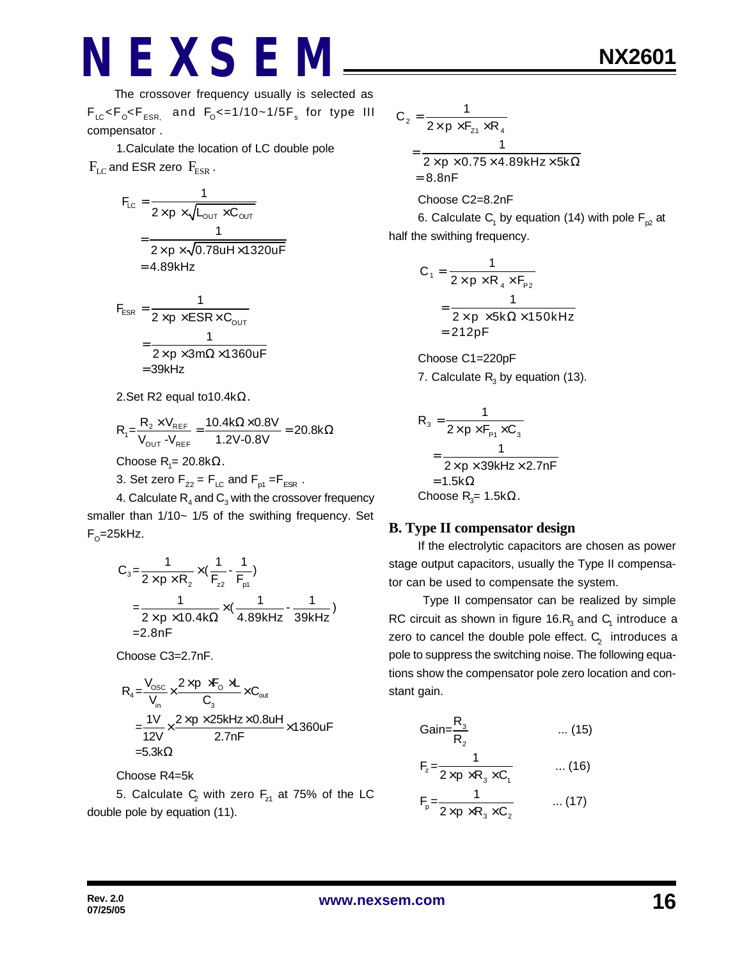1.Calculate the location of LC double pole  $F_{LC}$  and ESR zero  $F_{ESR}$ .

$$
F_{LC} = \frac{1}{2 \times p \times \sqrt{L_{OUT} \times C_{OUT}}}
$$
  
= 
$$
\frac{1}{2 \times p \times \sqrt{0.78uH \times 1320uF}}
$$
  
= 4.89kHz

$$
F_{ESR} = \frac{1}{2 \times p \times ESR \times C_{OUT}}
$$

$$
= \frac{1}{2 \times p \times 3m\Omega \times 1360uF}
$$

$$
= 39kHz
$$

2.Set R2 equal to10.4kΩ.

$$
R_{\text{1}}\text{=} \frac{R_{\text{2}} \times V_{\text{REF}}}{V_{\text{OUT}} - V_{\text{REF}}}= \frac{10.4 k\Omega \times 0.8 V}{1.2 V\text{-}0.8 V}=20.8 k\Omega
$$

Choose R<sub>1</sub>= 20.8kΩ.

3. Set zero  $F_{Z2} = F_{LC}$  and  $F_{p1} = F_{ESR}$ .

4. Calculate  $\mathsf{R}_{\scriptscriptstyle 4}$  and  $\mathsf{C}_{\scriptscriptstyle 3}$  with the crossover frequency smaller than 1/10~ 1/5 of the swithing frequency. Set F<sub>o</sub>=25kHz.

$$
C_3 = \frac{1}{2 \times p \times R_2} \times (\frac{1}{F_{22}} - \frac{1}{F_{p1}})
$$
  
=  $\frac{1}{2 \times p \times 10.4 k\Omega} \times (\frac{1}{4.89 kHz} - \frac{1}{39 kHz})$   
= 2.8nF

Choose C3=2.7nF.

$$
R_{4} = \frac{V_{\text{osc}}}{V_{\text{in}}} \times \frac{2 \times p \times F_{\text{o}} \times L}{C_{3}} \times C_{\text{out}}
$$
  
= 
$$
\frac{1V}{12V} \times \frac{2 \times p \times 25kHz \times 0.8uH}{2.7nF} \times 1360uF
$$
  
= 5.3k $\Omega$ 

Choose R4=5k

5. Calculate  $\mathsf{C}_{\!_2}$  with zero  $\mathsf{F}_{\mathsf{z}1}$  at 75% of the LC double pole by equation (11).

$$
C_2 = \frac{1}{2 \times p \times F_{z1} \times R_4}
$$
  
= 
$$
\frac{1}{2 \times p \times 0.75 \times 4.89 \text{kHz} \times 5 \text{k}\Omega}
$$
  
= 8.8nF  
Choose C2=8.2nF

6. Calculate  $\mathsf{C}_\mathsf{1}$  by equation (14) with pole  $\mathsf{F}_{\mathsf{p2}}$  at half the swithing frequency.

$$
C_1 = \frac{1}{2 \times p \times R_4 \times F_{p_2}}
$$
  
= 
$$
\frac{1}{2 \times p \times 5k\Omega \times 150kHz}
$$
  
= 212pF

Choose C1=220pF 7. Calculate  $R_3$  by equation (13).

$$
R_3 = \frac{1}{2 \times p \times F_{P1} \times C_3}
$$
  
= 
$$
\frac{1}{2 \times p \times 39kHz \times 2.7nF}
$$
  
= 1.5k $\Omega$   
Choose R<sub>3</sub>= 1.5k $\Omega$ .

#### **B. Type II compensator design**

If the electrolytic capacitors are chosen as power stage output capacitors, usually the Type II compensator can be used to compensate the system.

 Type II compensator can be realized by simple RC circuit as shown in figure 16. $R_3$  and  $C_1$  introduce a zero to cancel the double pole effect.  $\textsf{C}_\textsf{2}^{\textsf{}}\,$  introduces a pole to suppress the switching noise. The following equations show the compensator pole zero location and constant gain.

Gain=
$$
\frac{R_3}{R_2}
$$
 ... (15)  
\n
$$
F_z = \frac{1}{2 \times p \times R_3 \times C_1}
$$
 ... (16)  
\n
$$
F_p = \frac{1}{2 \times p \times R_3 \times C_2}
$$
 ... (17)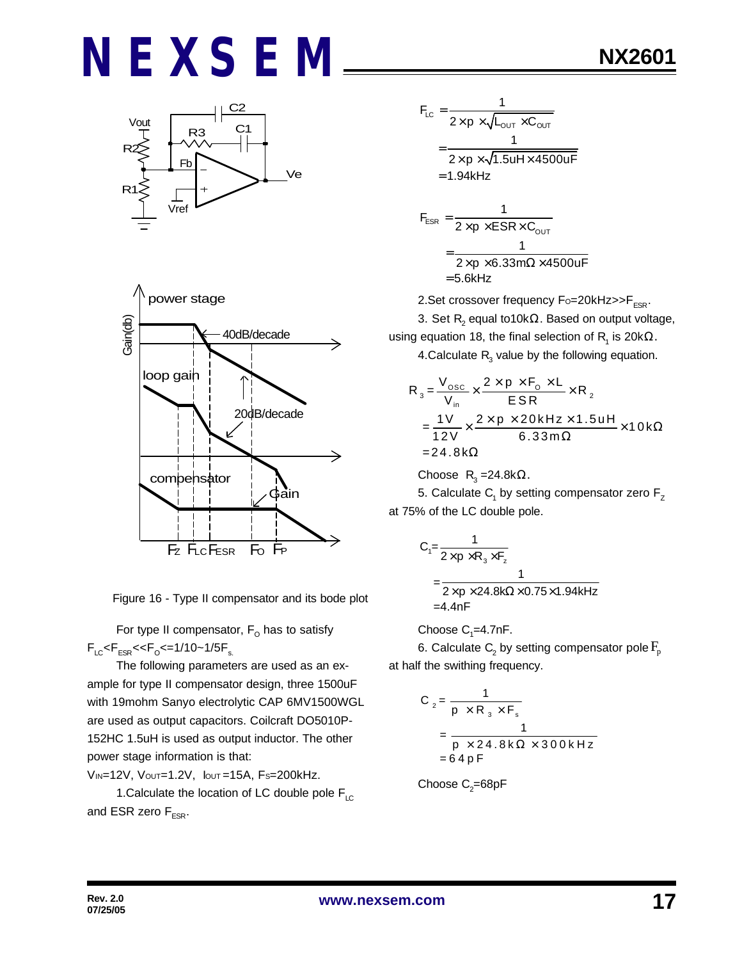





For type II compensator,  $\mathsf{F}_\mathsf{O}$  has to satisfy  $F_{LC}$ < $F_{ESR}$ << $F_{O}$ <=1/10~1/5 $F_{s.}$ 

The following parameters are used as an example for type II compensator design, three 1500uF with 19mohm Sanyo electrolytic CAP 6MV1500WGL are used as output capacitors. Coilcraft DO5010P-152HC 1.5uH is used as output inductor. The other power stage information is that:

VIN=12V, VOUT=1.2V, IOUT =15A, FS=200kHz.

1. Calculate the location of LC double pole  $F_{\text{LC}}$ and ESR zero  $F_{ESR}$ .

$$
F_{LC} = \frac{1}{2 \times p \times \sqrt{L_{OUT} \times C_{OUT}}}
$$
  
= 
$$
\frac{1}{2 \times p \times \sqrt{1.5uH \times 4500uF}}
$$
  
= 1.94kHz  

$$
F_{ESR} = \frac{1}{2 \times p \times ESR \times C_{OUT}}
$$
  
= 
$$
\frac{1}{2 \times p \times 6.33m\Omega \times 4500uF}
$$

$$
2 \times p \times 6.33 \text{m}\Omega \times 4500 \text{uF}
$$
  
= 5.6kHz

2.Set crossover frequency  $F_0 = 20kHz >> F_{ESR}$ .

3. Set  $\mathsf{R}_{\mathsf{2}}$  equal to10k $\Omega.$  Based on output voltage, using equation 18, the final selection of  $\mathsf{R}_{\mathsf{1}}$  is 20k $\Omega.$ 4.Calculate  $R_{3}$  value by the following equation.

$$
R_3 = \frac{V_{\text{osc}}}{V_{\text{in}}} \times \frac{2 \times p \times F_0 \times L}{ESR} \times R_2
$$
  
= 
$$
\frac{1V}{12V} \times \frac{2 \times p \times 20kHz \times 1.5uH}{6.33m\Omega} \times 10k\Omega
$$
  
= 24.8 kΩ

Choose  $R_3 = 24.8$ k $\Omega$ .

5. Calculate  $\mathsf{C}_\mathsf{1}$  by setting compensator zero  $\mathsf{F}_\mathsf{Z}$ at 75% of the LC double pole.

$$
C_1 = \frac{1}{2 \times p \times R_3 \times F_z}
$$
  
= 
$$
\frac{1}{2 \times p \times 24.8k\Omega \times 0.75 \times 1.94kHz}
$$
  
=4.4nF

Choose  $C_1 = 4.7$ nF.

6. Calculate  $\mathsf{C}_\text{2}$  by setting compensator pole  $\mathrm{F}_{\text{p}}$ at half the swithing frequency.

$$
C_2 = \frac{1}{p \times R_3 \times F_s}
$$
  
= 
$$
\frac{1}{p \times 24.8 \text{ k}\Omega \times 300 \text{ kHz}}
$$
  
= 64 pF

Choose 
$$
C_2
$$
=68pF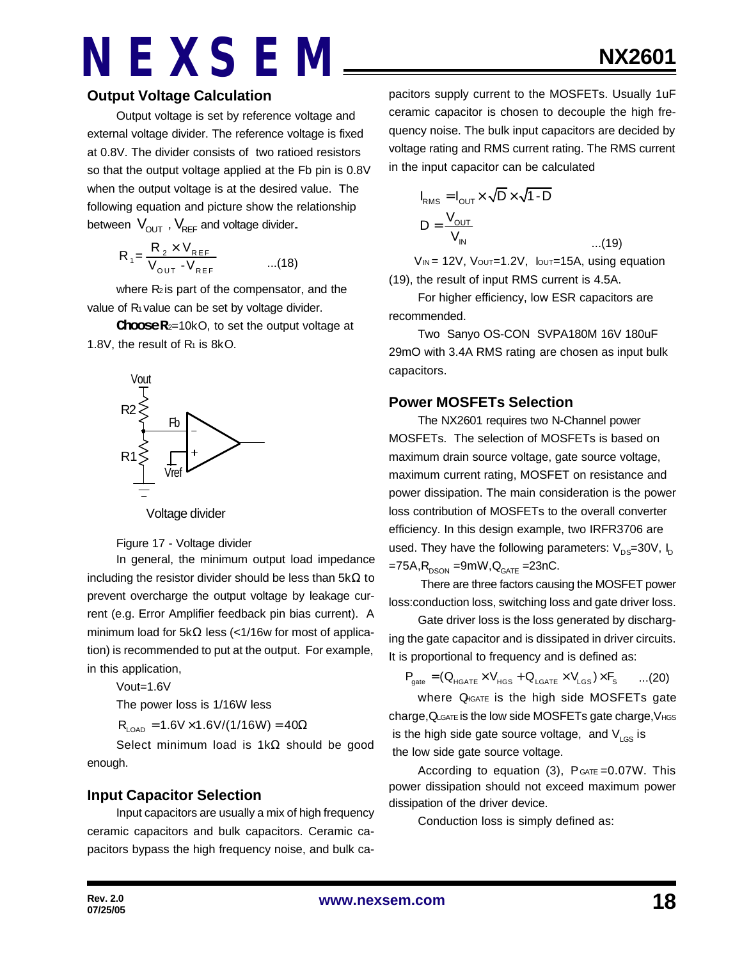#### **Output Voltage Calculation**

Output voltage is set by reference voltage and external voltage divider. The reference voltage is fixed at 0.8V. The divider consists of two ratioed resistors so that the output voltage applied at the Fb pin is 0.8V when the output voltage is at the desired value. The following equation and picture show the relationship between  $V_{\text{OUT}}$ ,  $V_{\text{REF}}$  and voltage divider.

$$
R_{1} = \frac{R_{2} \times V_{REF}}{V_{OUT} - V_{REF}} \qquad ...(18)
$$

where  $R_2$  is part of the compensator, and the value of R<sub>1</sub> value can be set by voltage divider.

**Choose R**2=10kO, to set the output voltage at 1.8V, the result of  $R_1$  is 8kO.



Voltage divider

Figure 17 - Voltage divider

In general, the minimum output load impedance including the resistor divider should be less than 5kΩ to prevent overcharge the output voltage by leakage current (e.g. Error Amplifier feedback pin bias current). A minimum load for 5kΩ less (<1/16w for most of application) is recommended to put at the output. For example, in this application,

Vout=1.6V

The power loss is 1/16W less

 $R_{\text{LOAD}} = 1.6V \times 1.6V/(1/16W) = 40\Omega$ 

Select minimum load is 1kΩ should be good enough.

#### **Input Capacitor Selection**

Input capacitors are usually a mix of high frequency ceramic capacitors and bulk capacitors. Ceramic capacitors bypass the high frequency noise, and bulk capacitors supply current to the MOSFETs. Usually 1uF ceramic capacitor is chosen to decouple the high frequency noise. The bulk input capacitors are decided by voltage rating and RMS current rating. The RMS current in the input capacitor can be calculated

$$
I_{RMS} = I_{OUT} \times \sqrt{D} \times \sqrt{1 - D}
$$
  

$$
D = \frac{V_{OUT}}{V_{IN}}
$$
...(19)

 $V_{IN}$  = 12V,  $V_{OUT}=1.2V$ ,  $I_{OUT}=15A$ , using equation (19), the result of input RMS current is 4.5A.

For higher efficiency, low ESR capacitors are recommended.

Two Sanyo OS-CON SVPA180M 16V 180uF 29mO with 3.4A RMS rating are chosen as input bulk capacitors.

#### **Power MOSFETs Selection**

The NX2601 requires two N-Channel power MOSFETs. The selection of MOSFETs is based on maximum drain source voltage, gate source voltage, maximum current rating, MOSFET on resistance and power dissipation. The main consideration is the power loss contribution of MOSFETs to the overall converter efficiency. In this design example, two IRFR3706 are used. They have the following parameters:  $V_{\text{DS}}=30V$ ,  $I_{\text{D}}$  $=75A$ ,  $R_{DSON} = 9mW$ ,  $Q_{GATE} = 23nC$ .

 There are three factors causing the MOSFET power loss:conduction loss, switching loss and gate driver loss.

Gate driver loss is the loss generated by discharging the gate capacitor and is dissipated in driver circuits. It is proportional to frequency and is defined as:

 $P_{\text{gate}} = (Q_{\text{HGATE}} \times V_{\text{HGS}} + Q_{\text{LGATE}} \times V_{\text{LGS}}) \times F_{\text{S}}$  ...(20)

where Q<sub>IGATE</sub> is the high side MOSFETs gate charge,QLGATE is the low side MOSFETs gate charge,VHGS is the high side gate source voltage, and  $V_{\text{LGS}}$  is the low side gate source voltage.

According to equation  $(3)$ ,  $P_{GATE} = 0.07W$ . This power dissipation should not exceed maximum power dissipation of the driver device.

Conduction loss is simply defined as: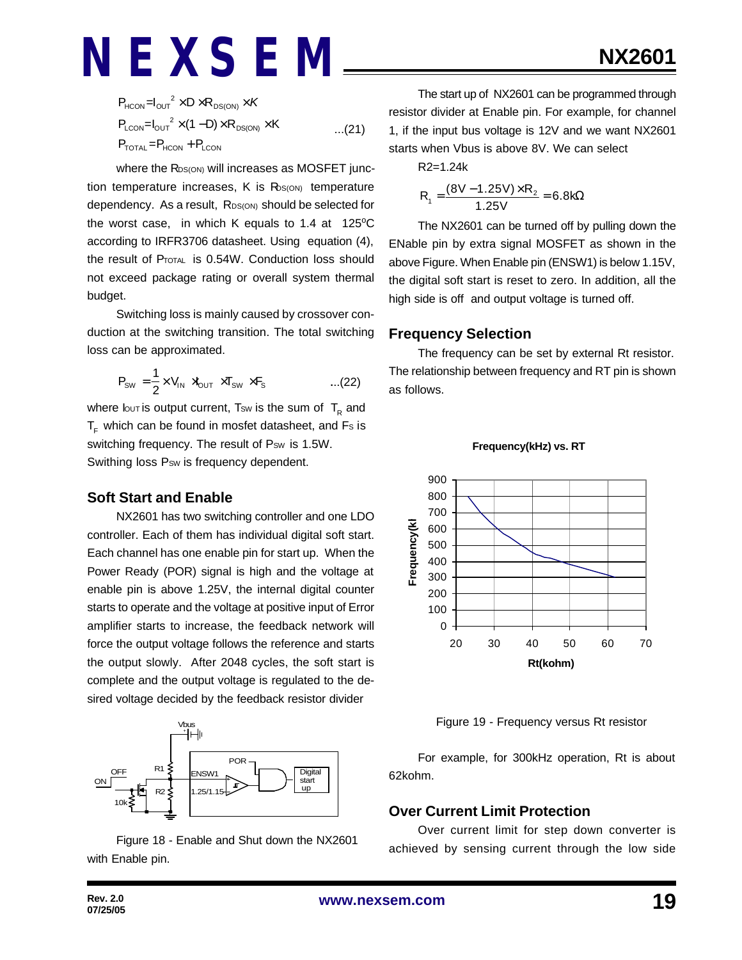$$
P_{HCON} = I_{OUT}^2 \times D \times R_{DS(ON)} \times K
$$
  
\n
$$
P_{LCDN} = I_{OUT}^2 \times (1 - D) \times R_{DS(ON)} \times K
$$
...(21)  
\n
$$
P_{TOTAL} = P_{HCON} + P_{LCDN}
$$

where the R<sub>DS(ON)</sub> will increases as MOSFET junction temperature increases,  $K$  is  $R_{S(ON)}$  temperature dependency. As a result, RDS(ON) should be selected for the worst case, in which K equals to 1.4 at  $125^{\circ}$ C according to IRFR3706 datasheet. Using equation (4), the result of PTOTAL is 0.54W. Conduction loss should not exceed package rating or overall system thermal budget.

Switching loss is mainly caused by crossover conduction at the switching transition. The total switching loss can be approximated.

$$
P_{\text{SW}} = \frac{1}{2} \times V_{\text{IN}} \rtimes_{\text{OUT}} \times T_{\text{SW}} \times F_{\text{s}} \qquad \qquad \dots (22)
$$

where lout is output current, Tsw is the sum of  $\, {\sf T}_{\sf R} \,$  and  $T<sub>F</sub>$  which can be found in mosfet datasheet, and Fs is switching frequency. The result of Psw is 1.5W. Swithing loss Psw is frequency dependent.

#### **Soft Start and Enable**

NX2601 has two switching controller and one LDO controller. Each of them has individual digital soft start. Each channel has one enable pin for start up. When the Power Ready (POR) signal is high and the voltage at enable pin is above 1.25V, the internal digital counter starts to operate and the voltage at positive input of Error amplifier starts to increase, the feedback network will force the output voltage follows the reference and starts the output slowly. After 2048 cycles, the soft start is complete and the output voltage is regulated to the desired voltage decided by the feedback resistor divider



Figure 18 - Enable and Shut down the NX2601 with Enable pin.

The start up of NX2601 can be programmed through resistor divider at Enable pin. For example, for channel 1, if the input bus voltage is 12V and we want NX2601 starts when Vbus is above 8V. We can select

R2=1.24k

$$
R_1 = \frac{(8V - 1.25V) \times R_2}{1.25V} = 6.8k\Omega
$$

The NX2601 can be turned off by pulling down the ENable pin by extra signal MOSFET as shown in the above Figure. When Enable pin (ENSW1) is below 1.15V, the digital soft start is reset to zero. In addition, all the high side is off and output voltage is turned off.

#### **Frequency Selection**

The frequency can be set by external Rt resistor. The relationship between frequency and RT pin is shown as follows.



**Frequency(kHz) vs. RT**

Figure 19 - Frequency versus Rt resistor

For example, for 300kHz operation, Rt is about 62kohm.

#### **Over Current Limit Protection**

Over current limit for step down converter is achieved by sensing current through the low side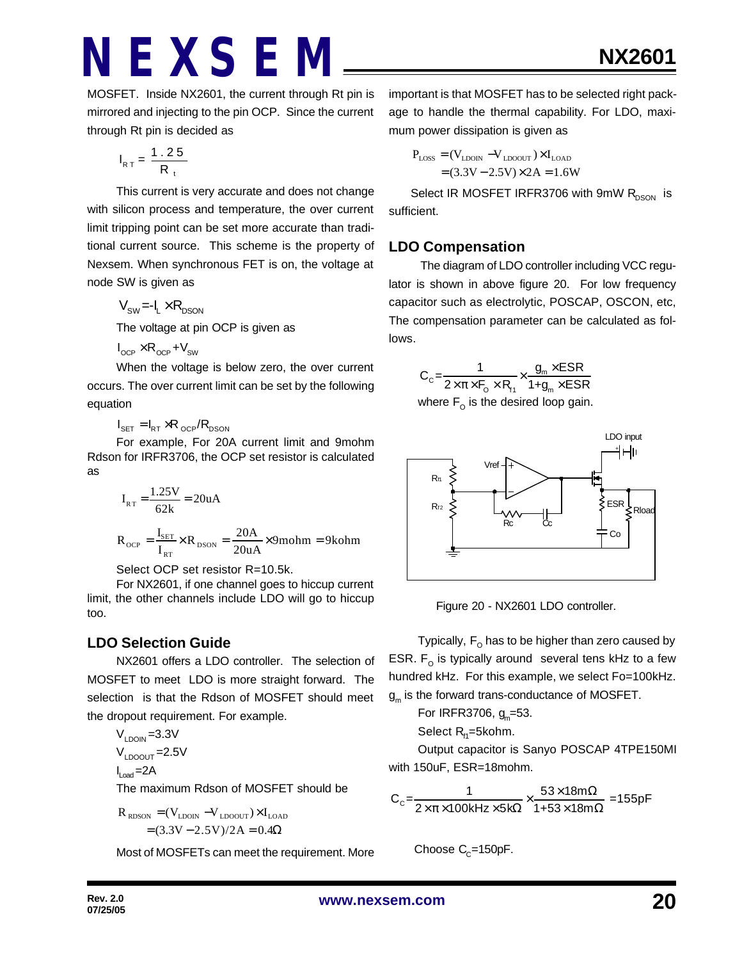MOSFET. Inside NX2601, the current through Rt pin is mirrored and injecting to the pin OCP. Since the current through Rt pin is decided as

$$
I_{RT} = \frac{1.25}{R_t}
$$

This current is very accurate and does not change with silicon process and temperature, the over current limit tripping point can be set more accurate than traditional current source. This scheme is the property of Nexsem. When synchronous FET is on, the voltage at node SW is given as

$$
V_{\rm SW}\text{=-I}_L\times R_{\rm DSON}
$$

The voltage at pin OCP is given as

 $I_{\text{OCP}} \times R_{\text{OCP}} + V_{\text{SW}}$ 

When the voltage is below zero, the over current occurs. The over current limit can be set by the following equation

 $I_{\text{SET}} = I_{\text{RT}} \times R_{\text{OCP}} / R_{\text{DSON}}$ 

For example, For 20A current limit and 9mohm Rdson for IRFR3706, the OCP set resistor is calculated as

$$
I_{RT} = \frac{1.25V}{62k} = 20uA
$$
  

$$
P = I_{SET} \times P = 20A \times 0
$$

 $_{\text{OCP}} = \frac{I_{\text{SET}}}{I} \times R_{\text{DSON}}$ RT  $R_{\text{OCP}} = \frac{I_{\text{SET}}}{I_{\text{RT}}} \times R_{\text{DSON}} = \frac{20A}{20uA} \times 9 \text{molm} = 9 \text{kohm}$ 

Select OCP set resistor R=10.5k.

For NX2601, if one channel goes to hiccup current limit, the other channels include LDO will go to hiccup too.

### **LDO Selection Guide**

NX2601 offers a LDO controller. The selection of MOSFET to meet LDO is more straight forward. The selection is that the Rdson of MOSFET should meet the dropout requirement. For example.

$$
V_{\text{LDON}} = 3.3 \text{V}
$$
  

$$
V_{\text{LDOOUT}} = 2.5 \text{V}
$$

$$
I_{\text{Load}}{=}2A
$$

The maximum Rdson of MOSFET should be

$$
R_{\text{RDSON}} = (V_{\text{LDON}} - V_{\text{LDOOUT}}) \times I_{\text{LOAD}}
$$

$$
= (3.3V - 2.5V)/2A = 0.4\Omega
$$

Most of MOSFETs can meet the requirement. More

important is that MOSFET has to be selected right package to handle the thermal capability. For LDO, maximum power dissipation is given as

$$
P_{\text{LOSS}} = (V_{\text{LDON}} - V_{\text{LDOOUT}}) \times I_{\text{LOAD}}
$$

$$
= (3.3V - 2.5V) \times 2A = 1.6W
$$

Select IR MOSFET IRFR3706 with 9mW R<sub>DSON</sub> is sufficient.

### **LDO Compensation**

 The diagram of LDO controller including VCC regulator is shown in above figure 20. For low frequency capacitor such as electrolytic, POSCAP, OSCON, etc, The compensation parameter can be calculated as follows.

$$
C_{c} = \frac{1}{2 \times \pi \times F_{o} \times R_{H}} \times \frac{g_{m} \times ESR}{1 + g_{m} \times ESR}
$$
  
where  $F_{o}$  is the desired loop gain.



Figure 20 - NX2601 LDO controller.

Typically,  $\mathsf{F}_\mathsf{O}$  has to be higher than zero caused by ESR.  $F_{\text{o}}$  is typically around several tens kHz to a few hundred kHz. For this example, we select Fo=100kHz.  $\boldsymbol{\mathsf{g}}_\mathsf{m}$  is the forward trans-conductance of MOSFET.

For IRFR3706, 
$$
g_m
$$
=53.

Select  $R_{H}$ =5kohm.

Output capacitor is Sanyo POSCAP 4TPE150MI with 150uF, ESR=18mohm.

$$
C_c = \frac{1}{2 \times \pi \times 100 \text{kHz} \times 5 \text{k}\Omega} \times \frac{53 \times 18 \text{m}\Omega}{1+53 \times 18 \text{m}\Omega} = 155 \text{pF}
$$

Choose 
$$
C_c
$$
=150pF.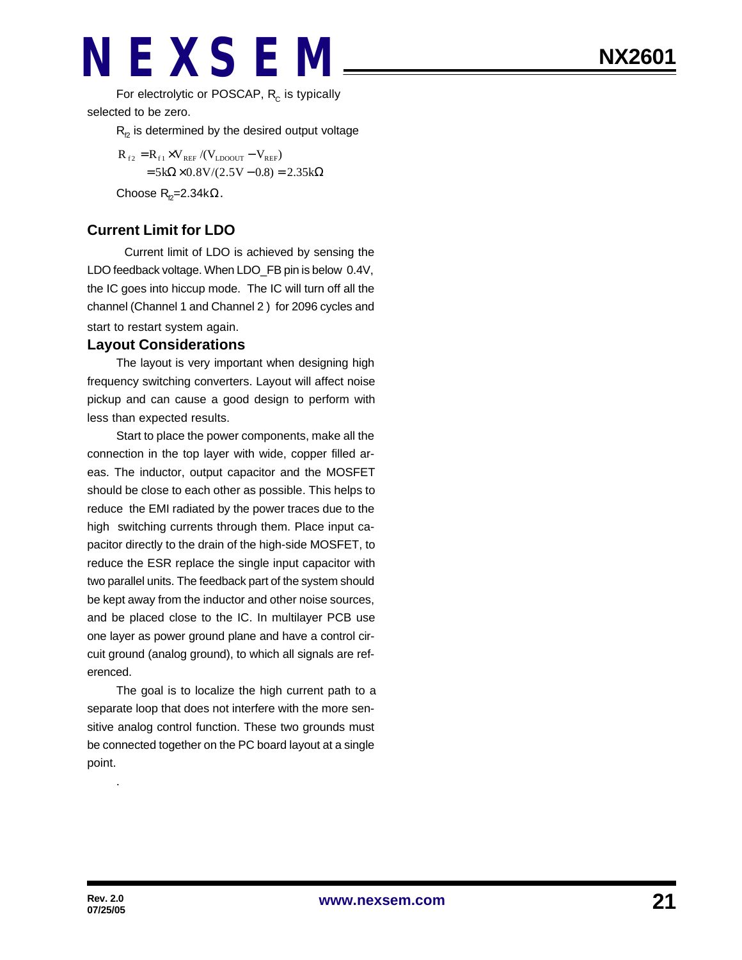For electrolytic or POSCAP,  $R_c$  is typically selected to be zero.

 $R<sub>p</sub>$  is determined by the desired output voltage

 $R_{f2} = R_{f1} \times V_{REF} / (V_{LDOOUT} - V_{REF})$  $= 5k\Omega \times 0.8V/(2.5V - 0.8) = 2.35k\Omega$ Choose  $R_{p}$ =2.34k $\Omega$ .

### **Current Limit for LDO**

Current limit of LDO is achieved by sensing the LDO feedback voltage. When LDO\_FB pin is below 0.4V, the IC goes into hiccup mode. The IC will turn off all the channel (Channel 1 and Channel 2 ) for 2096 cycles and start to restart system again.

#### **Layout Considerations**

The layout is very important when designing high frequency switching converters. Layout will affect noise pickup and can cause a good design to perform with less than expected results.

Start to place the power components, make all the connection in the top layer with wide, copper filled areas. The inductor, output capacitor and the MOSFET should be close to each other as possible. This helps to reduce the EMI radiated by the power traces due to the high switching currents through them. Place input capacitor directly to the drain of the high-side MOSFET, to reduce the ESR replace the single input capacitor with two parallel units. The feedback part of the system should be kept away from the inductor and other noise sources, and be placed close to the IC. In multilayer PCB use one layer as power ground plane and have a control circuit ground (analog ground), to which all signals are referenced.

The goal is to localize the high current path to a separate loop that does not interfere with the more sensitive analog control function. These two grounds must be connected together on the PC board layout at a single point.

.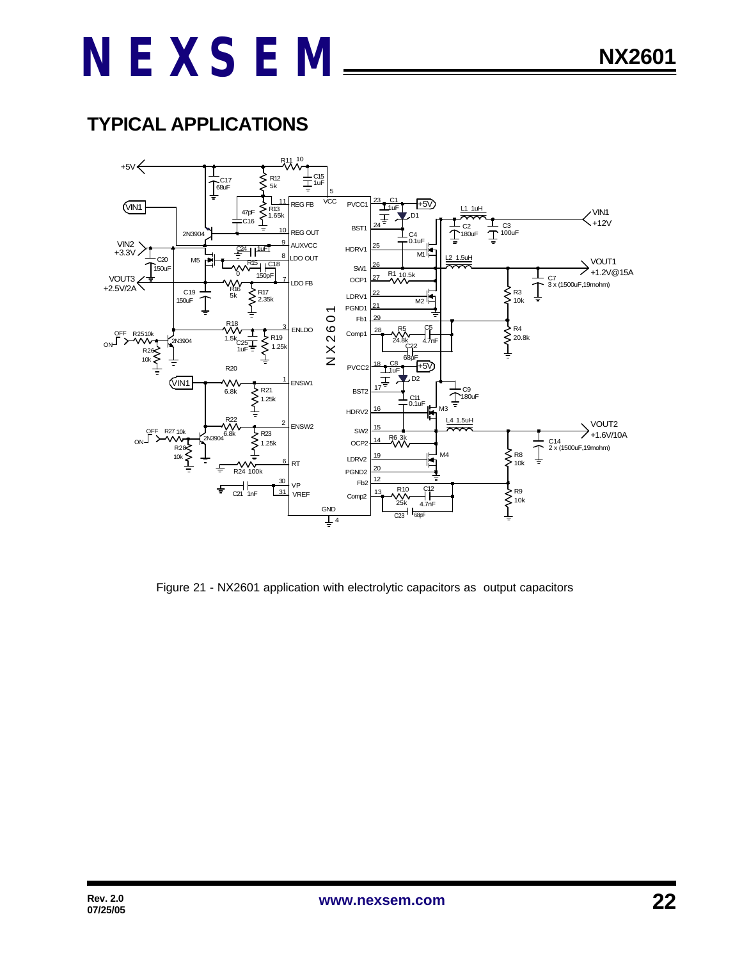### **TYPICAL APPLICATIONS**



Figure 21 - NX2601 application with electrolytic capacitors as output capacitors